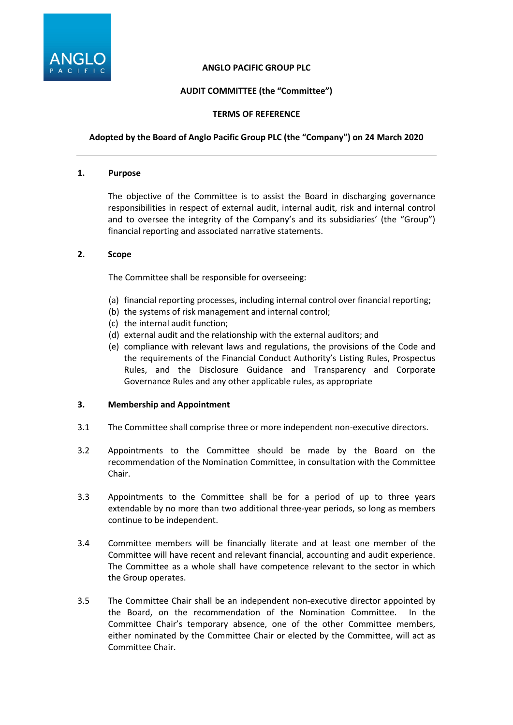

## **ANGLO PACIFIC GROUP PLC**

# **AUDIT COMMITTEE (the "Committee")**

## **TERMS OF REFERENCE**

## **Adopted by the Board of Anglo Pacific Group PLC (the "Company") on 24 March 2020**

#### **1. Purpose**

The objective of the Committee is to assist the Board in discharging governance responsibilities in respect of external audit, internal audit, risk and internal control and to oversee the integrity of the Company's and its subsidiaries' (the "Group") financial reporting and associated narrative statements.

### **2. Scope**

The Committee shall be responsible for overseeing:

- (a) financial reporting processes, including internal control over financial reporting;
- (b) the systems of risk management and internal control;
- (c) the internal audit function;
- (d) external audit and the relationship with the external auditors; and
- (e) compliance with relevant laws and regulations, the provisions of the Code and the requirements of the Financial Conduct Authority's Listing Rules, Prospectus Rules, and the Disclosure Guidance and Transparency and Corporate Governance Rules and any other applicable rules, as appropriate

### **3. Membership and Appointment**

- 3.1 The Committee shall comprise three or more independent non-executive directors.
- 3.2 Appointments to the Committee should be made by the Board on the recommendation of the Nomination Committee, in consultation with the Committee Chair.
- 3.3 Appointments to the Committee shall be for a period of up to three years extendable by no more than two additional three-year periods, so long as members continue to be independent.
- 3.4 Committee members will be financially literate and at least one member of the Committee will have recent and relevant financial, accounting and audit experience. The Committee as a whole shall have competence relevant to the sector in which the Group operates.
- 3.5 The Committee Chair shall be an independent non-executive director appointed by the Board, on the recommendation of the Nomination Committee. In the Committee Chair's temporary absence, one of the other Committee members, either nominated by the Committee Chair or elected by the Committee, will act as Committee Chair.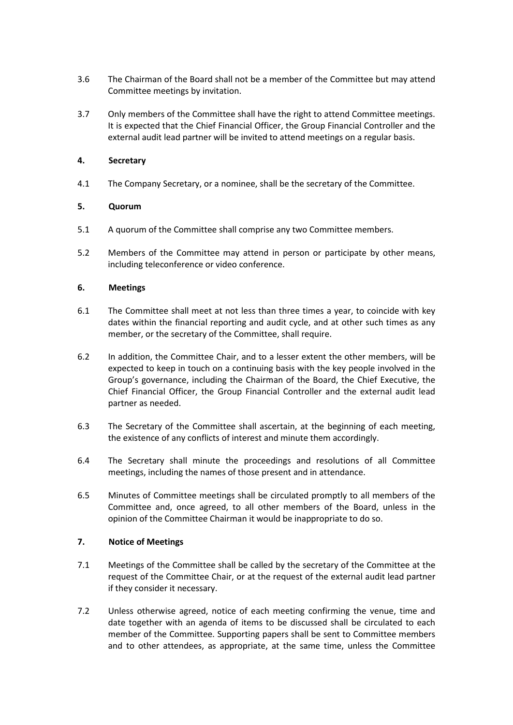- 3.6 The Chairman of the Board shall not be a member of the Committee but may attend Committee meetings by invitation.
- 3.7 Only members of the Committee shall have the right to attend Committee meetings. It is expected that the Chief Financial Officer, the Group Financial Controller and the external audit lead partner will be invited to attend meetings on a regular basis.

## **4. Secretary**

4.1 The Company Secretary, or a nominee, shall be the secretary of the Committee.

## **5. Quorum**

- 5.1 A quorum of the Committee shall comprise any two Committee members.
- 5.2 Members of the Committee may attend in person or participate by other means, including teleconference or video conference.

## **6. Meetings**

- 6.1 The Committee shall meet at not less than three times a year, to coincide with key dates within the financial reporting and audit cycle, and at other such times as any member, or the secretary of the Committee, shall require.
- 6.2 In addition, the Committee Chair, and to a lesser extent the other members, will be expected to keep in touch on a continuing basis with the key people involved in the Group's governance, including the Chairman of the Board, the Chief Executive, the Chief Financial Officer, the Group Financial Controller and the external audit lead partner as needed.
- 6.3 The Secretary of the Committee shall ascertain, at the beginning of each meeting, the existence of any conflicts of interest and minute them accordingly.
- 6.4 The Secretary shall minute the proceedings and resolutions of all Committee meetings, including the names of those present and in attendance.
- 6.5 Minutes of Committee meetings shall be circulated promptly to all members of the Committee and, once agreed, to all other members of the Board, unless in the opinion of the Committee Chairman it would be inappropriate to do so.

### **7. Notice of Meetings**

- 7.1 Meetings of the Committee shall be called by the secretary of the Committee at the request of the Committee Chair, or at the request of the external audit lead partner if they consider it necessary.
- 7.2 Unless otherwise agreed, notice of each meeting confirming the venue, time and date together with an agenda of items to be discussed shall be circulated to each member of the Committee. Supporting papers shall be sent to Committee members and to other attendees, as appropriate, at the same time, unless the Committee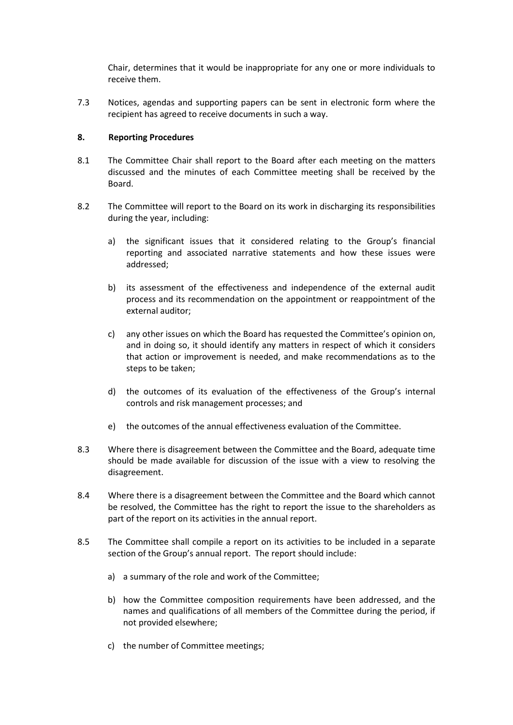Chair, determines that it would be inappropriate for any one or more individuals to receive them.

7.3 Notices, agendas and supporting papers can be sent in electronic form where the recipient has agreed to receive documents in such a way.

### **8. Reporting Procedures**

- 8.1 The Committee Chair shall report to the Board after each meeting on the matters discussed and the minutes of each Committee meeting shall be received by the Board.
- 8.2 The Committee will report to the Board on its work in discharging its responsibilities during the year, including:
	- a) the significant issues that it considered relating to the Group's financial reporting and associated narrative statements and how these issues were addressed;
	- b) its assessment of the effectiveness and independence of the external audit process and its recommendation on the appointment or reappointment of the external auditor;
	- c) any other issues on which the Board has requested the Committee's opinion on, and in doing so, it should identify any matters in respect of which it considers that action or improvement is needed, and make recommendations as to the steps to be taken;
	- d) the outcomes of its evaluation of the effectiveness of the Group's internal controls and risk management processes; and
	- e) the outcomes of the annual effectiveness evaluation of the Committee.
- 8.3 Where there is disagreement between the Committee and the Board, adequate time should be made available for discussion of the issue with a view to resolving the disagreement.
- 8.4 Where there is a disagreement between the Committee and the Board which cannot be resolved, the Committee has the right to report the issue to the shareholders as part of the report on its activities in the annual report.
- 8.5 The Committee shall compile a report on its activities to be included in a separate section of the Group's annual report. The report should include:
	- a) a summary of the role and work of the Committee;
	- b) how the Committee composition requirements have been addressed, and the names and qualifications of all members of the Committee during the period, if not provided elsewhere;
	- c) the number of Committee meetings;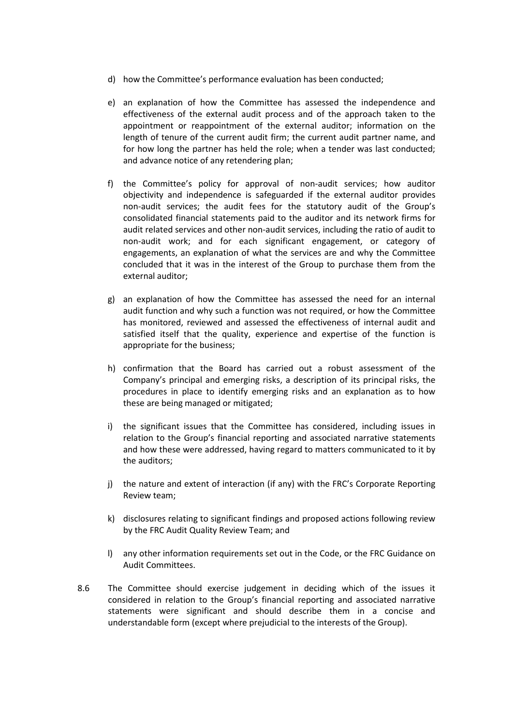- d) how the Committee's performance evaluation has been conducted;
- e) an explanation of how the Committee has assessed the independence and effectiveness of the external audit process and of the approach taken to the appointment or reappointment of the external auditor; information on the length of tenure of the current audit firm; the current audit partner name, and for how long the partner has held the role; when a tender was last conducted; and advance notice of any retendering plan;
- f) the Committee's policy for approval of non-audit services; how auditor objectivity and independence is safeguarded if the external auditor provides non-audit services; the audit fees for the statutory audit of the Group's consolidated financial statements paid to the auditor and its network firms for audit related services and other non-audit services, including the ratio of audit to non-audit work; and for each significant engagement, or category of engagements, an explanation of what the services are and why the Committee concluded that it was in the interest of the Group to purchase them from the external auditor;
- g) an explanation of how the Committee has assessed the need for an internal audit function and why such a function was not required, or how the Committee has monitored, reviewed and assessed the effectiveness of internal audit and satisfied itself that the quality, experience and expertise of the function is appropriate for the business;
- h) confirmation that the Board has carried out a robust assessment of the Company's principal and emerging risks, a description of its principal risks, the procedures in place to identify emerging risks and an explanation as to how these are being managed or mitigated;
- i) the significant issues that the Committee has considered, including issues in relation to the Group's financial reporting and associated narrative statements and how these were addressed, having regard to matters communicated to it by the auditors;
- j) the nature and extent of interaction (if any) with the FRC's Corporate Reporting Review team;
- k) disclosures relating to significant findings and proposed actions following review by the FRC Audit Quality Review Team; and
- l) any other information requirements set out in the Code, or the FRC Guidance on Audit Committees.
- 8.6 The Committee should exercise judgement in deciding which of the issues it considered in relation to the Group's financial reporting and associated narrative statements were significant and should describe them in a concise and understandable form (except where prejudicial to the interests of the Group).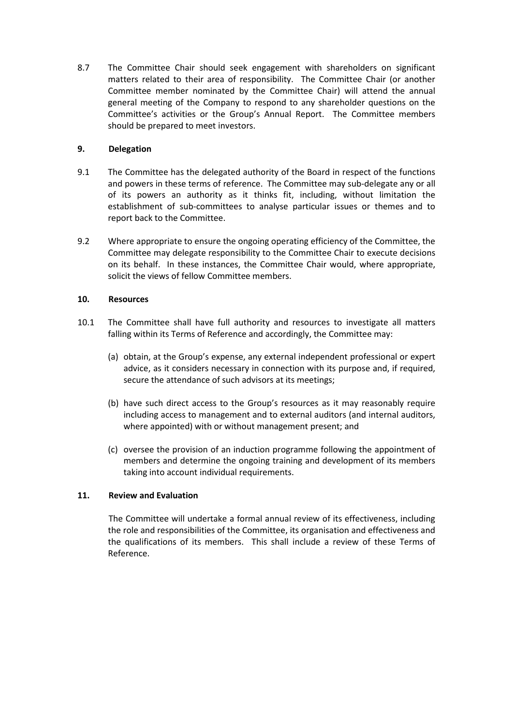8.7 The Committee Chair should seek engagement with shareholders on significant matters related to their area of responsibility. The Committee Chair (or another Committee member nominated by the Committee Chair) will attend the annual general meeting of the Company to respond to any shareholder questions on the Committee's activities or the Group's Annual Report. The Committee members should be prepared to meet investors.

# **9. Delegation**

- 9.1 The Committee has the delegated authority of the Board in respect of the functions and powers in these terms of reference. The Committee may sub-delegate any or all of its powers an authority as it thinks fit, including, without limitation the establishment of sub-committees to analyse particular issues or themes and to report back to the Committee.
- 9.2 Where appropriate to ensure the ongoing operating efficiency of the Committee, the Committee may delegate responsibility to the Committee Chair to execute decisions on its behalf. In these instances, the Committee Chair would, where appropriate, solicit the views of fellow Committee members.

## **10. Resources**

- 10.1 The Committee shall have full authority and resources to investigate all matters falling within its Terms of Reference and accordingly, the Committee may:
	- (a) obtain, at the Group's expense, any external independent professional or expert advice, as it considers necessary in connection with its purpose and, if required, secure the attendance of such advisors at its meetings;
	- (b) have such direct access to the Group's resources as it may reasonably require including access to management and to external auditors (and internal auditors, where appointed) with or without management present; and
	- (c) oversee the provision of an induction programme following the appointment of members and determine the ongoing training and development of its members taking into account individual requirements.

### **11. Review and Evaluation**

The Committee will undertake a formal annual review of its effectiveness, including the role and responsibilities of the Committee, its organisation and effectiveness and the qualifications of its members. This shall include a review of these Terms of Reference.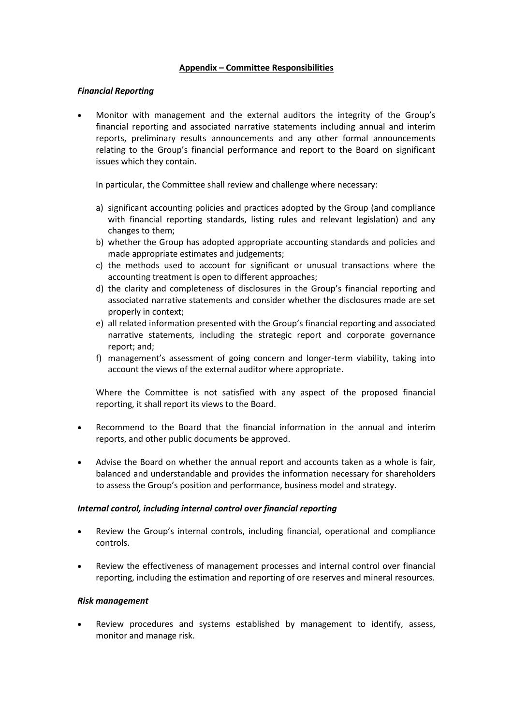## **Appendix – Committee Responsibilities**

## *Financial Reporting*

• Monitor with management and the external auditors the integrity of the Group's financial reporting and associated narrative statements including annual and interim reports, preliminary results announcements and any other formal announcements relating to the Group's financial performance and report to the Board on significant issues which they contain.

In particular, the Committee shall review and challenge where necessary:

- a) significant accounting policies and practices adopted by the Group (and compliance with financial reporting standards, listing rules and relevant legislation) and any changes to them;
- b) whether the Group has adopted appropriate accounting standards and policies and made appropriate estimates and judgements;
- c) the methods used to account for significant or unusual transactions where the accounting treatment is open to different approaches;
- d) the clarity and completeness of disclosures in the Group's financial reporting and associated narrative statements and consider whether the disclosures made are set properly in context;
- e) all related information presented with the Group's financial reporting and associated narrative statements, including the strategic report and corporate governance report; and;
- f) management's assessment of going concern and longer-term viability, taking into account the views of the external auditor where appropriate.

Where the Committee is not satisfied with any aspect of the proposed financial reporting, it shall report its views to the Board.

- Recommend to the Board that the financial information in the annual and interim reports, and other public documents be approved.
- Advise the Board on whether the annual report and accounts taken as a whole is fair, balanced and understandable and provides the information necessary for shareholders to assess the Group's position and performance, business model and strategy.

### *Internal control, including internal control over financial reporting*

- Review the Group's internal controls, including financial, operational and compliance controls.
- Review the effectiveness of management processes and internal control over financial reporting, including the estimation and reporting of ore reserves and mineral resources.

### *Risk management*

• Review procedures and systems established by management to identify, assess, monitor and manage risk.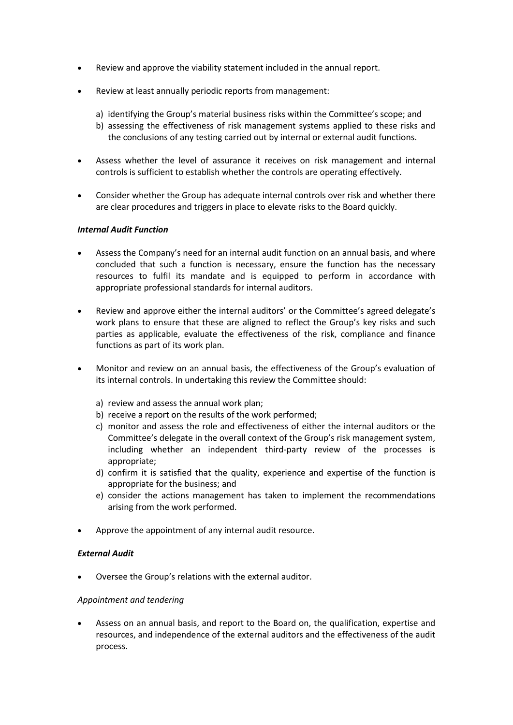- Review and approve the viability statement included in the annual report.
- Review at least annually periodic reports from management:
	- a) identifying the Group's material business risks within the Committee's scope; and
	- b) assessing the effectiveness of risk management systems applied to these risks and the conclusions of any testing carried out by internal or external audit functions.
- Assess whether the level of assurance it receives on risk management and internal controls is sufficient to establish whether the controls are operating effectively.
- Consider whether the Group has adequate internal controls over risk and whether there are clear procedures and triggers in place to elevate risks to the Board quickly.

### *Internal Audit Function*

- Assess the Company's need for an internal audit function on an annual basis, and where concluded that such a function is necessary, ensure the function has the necessary resources to fulfil its mandate and is equipped to perform in accordance with appropriate professional standards for internal auditors.
- Review and approve either the internal auditors' or the Committee's agreed delegate's work plans to ensure that these are aligned to reflect the Group's key risks and such parties as applicable, evaluate the effectiveness of the risk, compliance and finance functions as part of its work plan.
- Monitor and review on an annual basis, the effectiveness of the Group's evaluation of its internal controls. In undertaking this review the Committee should:
	- a) review and assess the annual work plan;
	- b) receive a report on the results of the work performed;
	- c) monitor and assess the role and effectiveness of either the internal auditors or the Committee's delegate in the overall context of the Group's risk management system, including whether an independent third-party review of the processes is appropriate;
	- d) confirm it is satisfied that the quality, experience and expertise of the function is appropriate for the business; and
	- e) consider the actions management has taken to implement the recommendations arising from the work performed.
- Approve the appointment of any internal audit resource.

### *External Audit*

• Oversee the Group's relations with the external auditor.

#### *Appointment and tendering*

• Assess on an annual basis, and report to the Board on, the qualification, expertise and resources, and independence of the external auditors and the effectiveness of the audit process.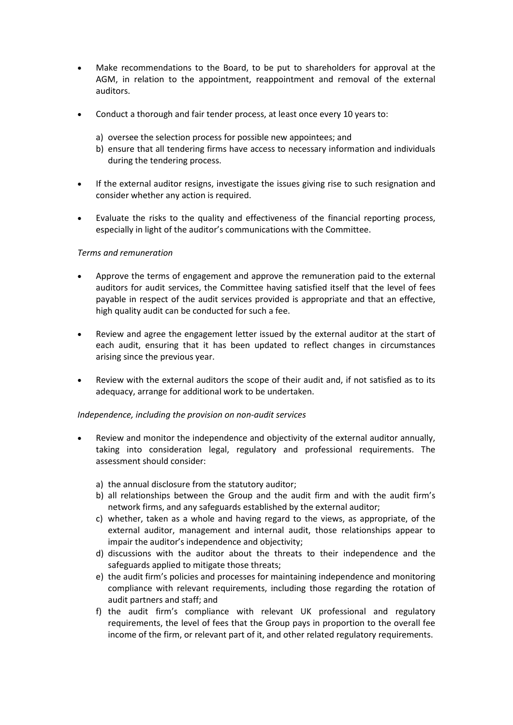- Make recommendations to the Board, to be put to shareholders for approval at the AGM, in relation to the appointment, reappointment and removal of the external auditors.
- Conduct a thorough and fair tender process, at least once every 10 years to:
	- a) oversee the selection process for possible new appointees; and
	- b) ensure that all tendering firms have access to necessary information and individuals during the tendering process.
- If the external auditor resigns, investigate the issues giving rise to such resignation and consider whether any action is required.
- Evaluate the risks to the quality and effectiveness of the financial reporting process, especially in light of the auditor's communications with the Committee.

### *Terms and remuneration*

- Approve the terms of engagement and approve the remuneration paid to the external auditors for audit services, the Committee having satisfied itself that the level of fees payable in respect of the audit services provided is appropriate and that an effective, high quality audit can be conducted for such a fee.
- Review and agree the engagement letter issued by the external auditor at the start of each audit, ensuring that it has been updated to reflect changes in circumstances arising since the previous year.
- Review with the external auditors the scope of their audit and, if not satisfied as to its adequacy, arrange for additional work to be undertaken.

#### *Independence, including the provision on non-audit services*

- Review and monitor the independence and objectivity of the external auditor annually, taking into consideration legal, regulatory and professional requirements. The assessment should consider:
	- a) the annual disclosure from the statutory auditor;
	- b) all relationships between the Group and the audit firm and with the audit firm's network firms, and any safeguards established by the external auditor;
	- c) whether, taken as a whole and having regard to the views, as appropriate, of the external auditor, management and internal audit, those relationships appear to impair the auditor's independence and objectivity;
	- d) discussions with the auditor about the threats to their independence and the safeguards applied to mitigate those threats;
	- e) the audit firm's policies and processes for maintaining independence and monitoring compliance with relevant requirements, including those regarding the rotation of audit partners and staff; and
	- f) the audit firm's compliance with relevant UK professional and regulatory requirements, the level of fees that the Group pays in proportion to the overall fee income of the firm, or relevant part of it, and other related regulatory requirements.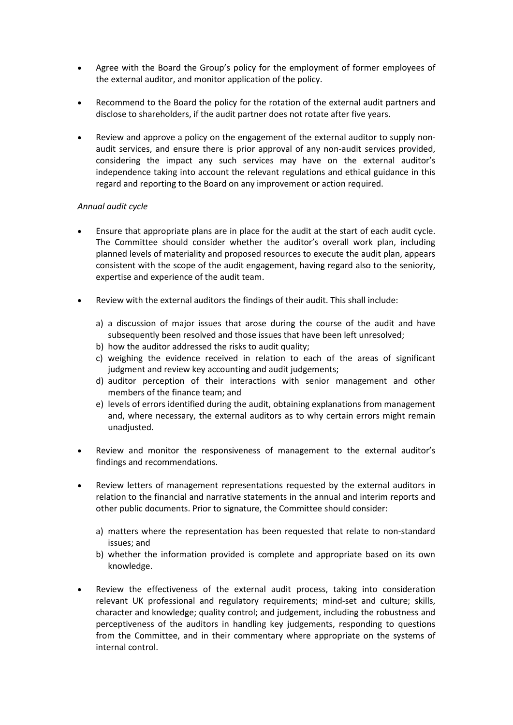- Agree with the Board the Group's policy for the employment of former employees of the external auditor, and monitor application of the policy.
- Recommend to the Board the policy for the rotation of the external audit partners and disclose to shareholders, if the audit partner does not rotate after five years.
- Review and approve a policy on the engagement of the external auditor to supply nonaudit services, and ensure there is prior approval of any non-audit services provided, considering the impact any such services may have on the external auditor's independence taking into account the relevant regulations and ethical guidance in this regard and reporting to the Board on any improvement or action required.

## *Annual audit cycle*

- Ensure that appropriate plans are in place for the audit at the start of each audit cycle. The Committee should consider whether the auditor's overall work plan, including planned levels of materiality and proposed resources to execute the audit plan, appears consistent with the scope of the audit engagement, having regard also to the seniority, expertise and experience of the audit team.
- Review with the external auditors the findings of their audit. This shall include:
	- a) a discussion of major issues that arose during the course of the audit and have subsequently been resolved and those issues that have been left unresolved;
	- b) how the auditor addressed the risks to audit quality;
	- c) weighing the evidence received in relation to each of the areas of significant judgment and review key accounting and audit judgements;
	- d) auditor perception of their interactions with senior management and other members of the finance team; and
	- e) levels of errors identified during the audit, obtaining explanations from management and, where necessary, the external auditors as to why certain errors might remain unadjusted.
- Review and monitor the responsiveness of management to the external auditor's findings and recommendations.
- Review letters of management representations requested by the external auditors in relation to the financial and narrative statements in the annual and interim reports and other public documents. Prior to signature, the Committee should consider:
	- a) matters where the representation has been requested that relate to non-standard issues; and
	- b) whether the information provided is complete and appropriate based on its own knowledge.
- Review the effectiveness of the external audit process, taking into consideration relevant UK professional and regulatory requirements; mind-set and culture; skills, character and knowledge; quality control; and judgement, including the robustness and perceptiveness of the auditors in handling key judgements, responding to questions from the Committee, and in their commentary where appropriate on the systems of internal control.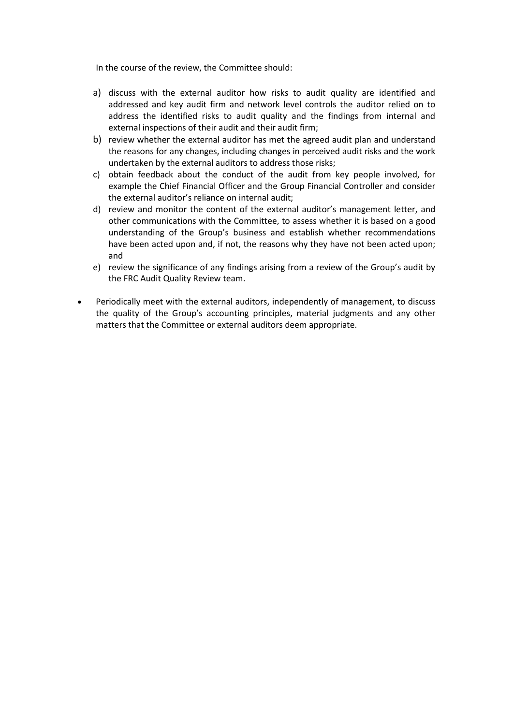In the course of the review, the Committee should:

- a) discuss with the external auditor how risks to audit quality are identified and addressed and key audit firm and network level controls the auditor relied on to address the identified risks to audit quality and the findings from internal and external inspections of their audit and their audit firm;
- b) review whether the external auditor has met the agreed audit plan and understand the reasons for any changes, including changes in perceived audit risks and the work undertaken by the external auditors to address those risks;
- c) obtain feedback about the conduct of the audit from key people involved, for example the Chief Financial Officer and the Group Financial Controller and consider the external auditor's reliance on internal audit;
- d) review and monitor the content of the external auditor's management letter, and other communications with the Committee, to assess whether it is based on a good understanding of the Group's business and establish whether recommendations have been acted upon and, if not, the reasons why they have not been acted upon; and
- e) review the significance of any findings arising from a review of the Group's audit by the FRC Audit Quality Review team.
- Periodically meet with the external auditors, independently of management, to discuss the quality of the Group's accounting principles, material judgments and any other matters that the Committee or external auditors deem appropriate.